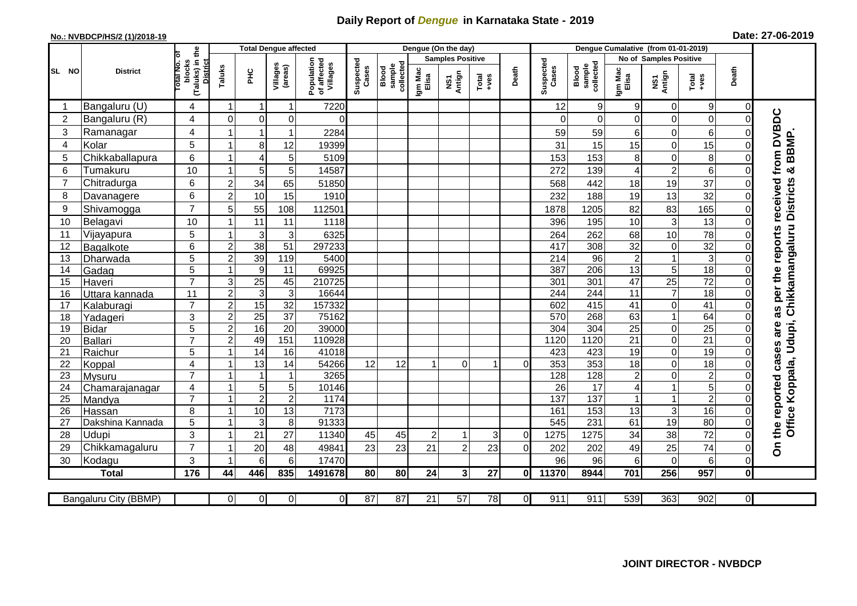## **Daily Report of** *Dengue* **in Karnataka State - 2019**

## **No.: NVBDCP/HS/2 (1)/2018-19 Date: 27-06-2019**

|                | <b>Total Dengue affected</b> |                                                              |                |                |                     |                                       | Dengue (On the day) |                              |                  |                         |         |              |                    | Dengue Cumalative (from 01-01-2019) |                                    |                               |                       |                      |                                        |  |
|----------------|------------------------------|--------------------------------------------------------------|----------------|----------------|---------------------|---------------------------------------|---------------------|------------------------------|------------------|-------------------------|---------|--------------|--------------------|-------------------------------------|------------------------------------|-------------------------------|-----------------------|----------------------|----------------------------------------|--|
|                |                              |                                                              |                |                |                     |                                       |                     |                              |                  | <b>Samples Positive</b> |         |              |                    |                                     |                                    | <b>No of Samples Positive</b> |                       |                      |                                        |  |
| SL NO          | <b>District</b>              | (Taluks) in the<br>rotal No. of<br>blocks<br><b>District</b> | Taluks         | ΞÉ             | Villages<br>(areas) | Population<br>of affected<br>Villages | Suspected<br>Cases  | sample<br>collected<br>Blood | Igm Mac<br>Elisa | NS1<br>Antign           | $Total$ | Death        | Suspected<br>Cases | collected<br>sample<br>Blood        | Igm Mac<br>Elisa                   | NS1<br>Antign                 | Total<br>$+ve$ s      | Death                |                                        |  |
|                | Bangaluru (U)                | 4                                                            | -1             | -1             | 1                   | 7220                                  |                     |                              |                  |                         |         |              | 12                 | 9                                   | 9                                  | $\overline{0}$                | 9                     | $\overline{0}$       |                                        |  |
| $\overline{2}$ | Bangaluru (R)                | 4                                                            | $\mathbf{0}$   | $\mathbf 0$    | $\mathbf 0$         | $\Omega$                              |                     |                              |                  |                         |         |              | ∩                  | $\Omega$                            | 0                                  | 0                             | $\mathbf 0$           | $\Omega$             |                                        |  |
| 3              | Ramanagar                    | 4                                                            |                | -1             | 1                   | 2284                                  |                     |                              |                  |                         |         |              | 59                 | 59                                  | 6                                  | 0                             | 6                     |                      | as per the reports received from DVBDC |  |
| 4              | Kolar                        | 5                                                            |                | 8              | 12                  | 19399                                 |                     |                              |                  |                         |         |              | 31                 | 15                                  | 15                                 | $\mathbf 0$                   | 15                    | 0                    |                                        |  |
| 5              | Chikkaballapura              | $\,6$                                                        |                | $\overline{4}$ | 5                   | 5109                                  |                     |                              |                  |                         |         |              | 153                | 153                                 | 8                                  | $\boldsymbol{0}$              | 8                     | $\mathbf 0$          | BBMP                                   |  |
| 6              | Tumakuru                     | 10                                                           |                | 5              | 5                   | 14587                                 |                     |                              |                  |                         |         |              | 272                | 139                                 | 4                                  | $\overline{c}$                | 6                     | $\Omega$             | ×                                      |  |
| $\overline{7}$ | Chitradurga                  | 6                                                            | $\overline{2}$ | 34             | 65                  | 51850                                 |                     |                              |                  |                         |         |              | 568                | 442                                 | 18                                 | 19                            | 37                    | 0                    |                                        |  |
| 8              | Davanagere                   | 6                                                            | $\overline{2}$ | 10             | 15                  | 1910                                  |                     |                              |                  |                         |         |              | 232                | 188                                 | 19                                 | 13                            | 32                    | 0                    |                                        |  |
| 9              | Shivamogga                   | $\overline{7}$                                               | 5              | 55             | 108                 | 112501                                |                     |                              |                  |                         |         |              | 1878               | 1205                                | 82                                 | 83                            | 165                   | 0                    | Chikkamangaluru Districts              |  |
| 10             | Belagavi                     | 10                                                           |                | 11             | 11                  | 1118                                  |                     |                              |                  |                         |         |              | 396                | 195                                 | 10                                 | 3                             | 13                    | 0                    |                                        |  |
| 11             | Vijayapura                   | 5                                                            |                | 3              | 3                   | 6325                                  |                     |                              |                  |                         |         |              | 264                | 262                                 | 68                                 | 10                            | 78                    | 0                    |                                        |  |
| 12             | Bagalkote                    | 6                                                            | $\overline{2}$ | 38             | 51                  | 297233                                |                     |                              |                  |                         |         |              | 417                | 308                                 | 32                                 | $\mathbf 0$                   | $\overline{32}$       | $\Omega$             |                                        |  |
| 13             | Dharwada                     | 5                                                            | $\overline{2}$ | 39             | 119                 | 5400                                  |                     |                              |                  |                         |         |              | 214                | 96                                  | $\overline{c}$                     | $\mathbf{1}$                  | $\overline{3}$        | $\Omega$             |                                        |  |
| 14             | Gadag                        | $\overline{5}$                                               |                | 9              | $\overline{11}$     | 69925                                 |                     |                              |                  |                         |         |              | 387                | 206                                 | 13                                 | $\mathbf 5$                   | 18                    | $\Omega$             |                                        |  |
| 15             | Haveri                       | $\overline{7}$                                               | 3              | 25             | 45                  | 210725                                |                     |                              |                  |                         |         |              | 301                | 301                                 | 47                                 | $\overline{25}$               | $\overline{72}$       | 0                    |                                        |  |
| 16             | Uttara kannada               | 11                                                           | $\overline{c}$ | 3              | 3                   | 16644                                 |                     |                              |                  |                         |         |              | 244                | 244                                 | $\overline{11}$                    | $\overline{7}$                | 18                    | 0                    |                                        |  |
| 17             | Kalaburagi                   | $\overline{7}$                                               | $\overline{2}$ | 15             | 32                  | 157332                                |                     |                              |                  |                         |         |              | 602                | 415                                 | 41                                 | $\overline{0}$                | 41                    | 0                    |                                        |  |
| 18             | Yadageri                     | 3                                                            | $\overline{c}$ | 25             | 37                  | 75162                                 |                     |                              |                  |                         |         |              | 570                | 268                                 | 63                                 | $\mathbf{1}$                  | 64                    | 0                    |                                        |  |
| 19             | Bidar                        | 5                                                            | $\overline{c}$ | 16             | $\overline{20}$     | 39000                                 |                     |                              |                  |                         |         |              | 304                | 304                                 | $\overline{25}$                    | $\boldsymbol{0}$              | 25                    | 0                    | are                                    |  |
| 20             | Ballari                      | $\overline{7}$                                               | $\overline{c}$ | 49             | 151                 | 110928                                |                     |                              |                  |                         |         |              | 1120               | 1120<br>423                         | $\overline{21}$<br>$\overline{19}$ | $\mathbf 0$<br>$\mathbf 0$    | $\overline{21}$<br>19 | 0                    |                                        |  |
| 21<br>22       | Raichur<br>Koppal            | 5<br>$\overline{4}$                                          |                | 14<br>13       | 16<br>14            | 41018<br>54266                        | 12                  | 12                           | $\overline{1}$   | $\Omega$                | 1       | 0            | 423<br>353         | 353                                 | $\overline{18}$                    | $\mathbf 0$                   | 18                    | $\Omega$<br>$\Omega$ |                                        |  |
| 23             | <b>Mysuru</b>                | $\overline{7}$                                               |                | $\overline{1}$ | 1                   | 3265                                  |                     |                              |                  |                         |         |              | 128                | 128                                 | $\overline{\mathbf{c}}$            | $\mathbf 0$                   | $\overline{2}$        | $\Omega$             | Office Koppala, Udupi,                 |  |
| 24             | Chamarajanagar               | 4                                                            |                | $\sqrt{5}$     | 5                   | 10146                                 |                     |                              |                  |                         |         |              | $\overline{26}$    | $\overline{17}$                     | 4                                  | $\mathbf{1}$                  | $\overline{5}$        | $\Omega$             |                                        |  |
| 25             | Mandya                       | $\overline{7}$                                               |                | $\overline{2}$ | $\mathbf 2$         | 1174                                  |                     |                              |                  |                         |         |              | 137                | 137                                 | $\mathbf{1}$                       | $\mathbf{1}$                  | $\overline{2}$        | $\Omega$             |                                        |  |
| 26             | Hassan                       | 8                                                            |                | 10             | 13                  | 7173                                  |                     |                              |                  |                         |         |              | 161                | 153                                 | 13                                 | 3                             | 16                    | $\Omega$             |                                        |  |
| 27             | Dakshina Kannada             | 5                                                            |                | 3              | 8                   | 91333                                 |                     |                              |                  |                         |         |              | 545                | 231                                 | 61                                 | 19                            | 80                    | $\Omega$             |                                        |  |
| 28             | <b>Udupi</b>                 | 3                                                            |                | 21             | 27                  | 11340                                 | 45                  | 45                           | $\overline{2}$   | 1                       | 3       | $\Omega$     | 1275               | 1275                                | 34                                 | 38                            | 72                    | 0                    | the reported cases                     |  |
| 29             | Chikkamagaluru               | $\overline{7}$                                               |                | 20             | 48                  | 49841                                 | 23                  | 23                           | 21               | $\overline{2}$          | 23      | $\Omega$     | 202                | 202                                 | 49                                 | 25                            | 74                    | 0                    | $\delta$                               |  |
| 30             | Kodagu                       | 3                                                            |                | 6              | 6                   | 17470                                 |                     |                              |                  |                         |         |              | 96                 | 96                                  | 6                                  | $\mathbf 0$                   | 6                     | 0                    |                                        |  |
|                | <b>Total</b>                 | $\frac{1}{176}$                                              | 44             | 446            | 835                 | 1491678                               | 80                  | 80                           | 24               | $\mathbf{3}$            | 27      | 0l           | 11370              | 8944                                | 701                                | 256                           | 957                   | $\mathbf{0}$         |                                        |  |
|                |                              |                                                              |                |                |                     |                                       |                     |                              |                  |                         |         |              |                    |                                     |                                    |                               |                       |                      |                                        |  |
|                | Bangaluru City (BBMP)        |                                                              | $\overline{0}$ | $\overline{0}$ | $\overline{0}$      | ΟI                                    | $\overline{87}$     | $\overline{87}$              | $\overline{21}$  | 57                      | 78      | $\mathbf{0}$ | 911                | 911                                 | 539                                | 363                           | 902                   | οI                   |                                        |  |